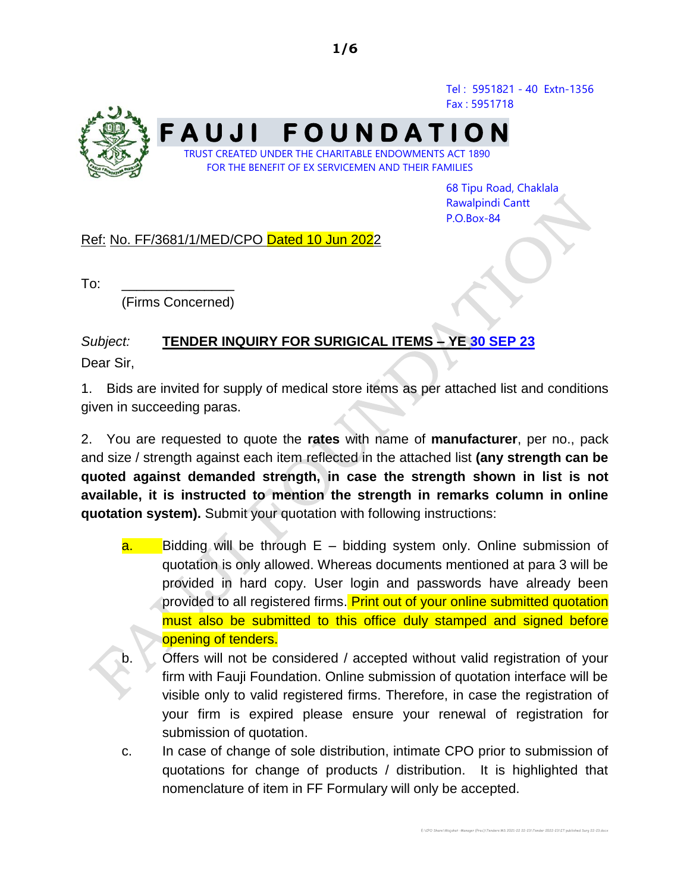Tel : 5951821 - 40 Extn-1356 Fax : 5951718



68 Tipu Road, Chaklala Rawalpindi Cantt P.O.Box-84

E:\CPO Share\Wajahat -Manager (Proc)\Tenders MS 2021-22 22-23\Tender 2022-23\IT published Surg 22-23.docx

## Ref: No. FF/3681/1/MED/CPO Dated 10 Jun 2022

 $To:$ 

(Firms Concerned)

## *Subject:* **TENDER INQUIRY FOR SURIGICAL ITEMS – YE 30 SEP 23** Dear Sir,

1. Bids are invited for supply of medical store items as per attached list and conditions given in succeeding paras.

2. You are requested to quote the **rates** with name of **manufacturer**, per no., pack and size / strength against each item reflected in the attached list **(any strength can be quoted against demanded strength, in case the strength shown in list is not available, it is instructed to mention the strength in remarks column in online quotation system).** Submit your quotation with following instructions:

- $a.$  Bidding will be through  $E b$ idding system only. Online submission of quotation is only allowed. Whereas documents mentioned at para 3 will be provided in hard copy. User login and passwords have already been provided to all registered firms. Print out of your online submitted quotation must also be submitted to this office duly stamped and signed before opening of tenders.
- b. Offers will not be considered / accepted without valid registration of your firm with Fauji Foundation. Online submission of quotation interface will be visible only to valid registered firms. Therefore, in case the registration of your firm is expired please ensure your renewal of registration for submission of quotation.
- c. In case of change of sole distribution, intimate CPO prior to submission of quotations for change of products / distribution. It is highlighted that nomenclature of item in FF Formulary will only be accepted.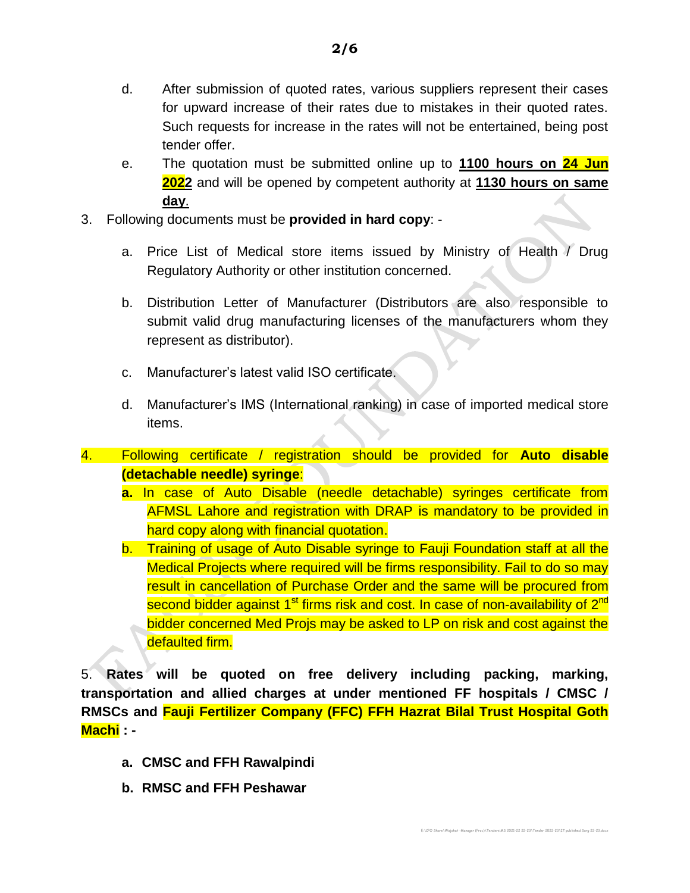- d. After submission of quoted rates, various suppliers represent their cases for upward increase of their rates due to mistakes in their quoted rates. Such requests for increase in the rates will not be entertained, being post tender offer.
- e. The quotation must be submitted online up to **1100 hours on 24 Jun 2022** and will be opened by competent authority at **1130 hours on same day**.
- 3. Following documents must be **provided in hard copy**:
	- a. Price List of Medical store items issued by Ministry of Health / Drug Regulatory Authority or other institution concerned.
	- b. Distribution Letter of Manufacturer (Distributors are also responsible to submit valid drug manufacturing licenses of the manufacturers whom they represent as distributor).
	- c. Manufacturer's latest valid ISO certificate.
	- d. Manufacturer's IMS (International ranking) in case of imported medical store items.
- 4. Following certificate / registration should be provided for **Auto disable (detachable needle) syringe**:
	- **a.** In case of Auto Disable (needle detachable) syringes certificate from AFMSL Lahore and registration with DRAP is mandatory to be provided in hard copy along with financial quotation.
	- b. Training of usage of Auto Disable syringe to Fauji Foundation staff at all the Medical Projects where required will be firms responsibility. Fail to do so may result in cancellation of Purchase Order and the same will be procured from second bidder against 1<sup>st</sup> firms risk and cost. In case of non-availability of 2<sup>nd</sup> bidder concerned Med Projs may be asked to LP on risk and cost against the defaulted firm.

5. **Rates will be quoted on free delivery including packing, marking, transportation and allied charges at under mentioned FF hospitals / CMSC / RMSCs and Fauji Fertilizer Company (FFC) FFH Hazrat Bilal Trust Hospital Goth Machi : -**

E:\CPO Share\Wajahat -Manager (Proc)\Tenders MS 2021-22 22-23\Tender 2022-23\IT published Surg 22-23.docx

- **a. CMSC and FFH Rawalpindi**
- **b. RMSC and FFH Peshawar**

**2/6**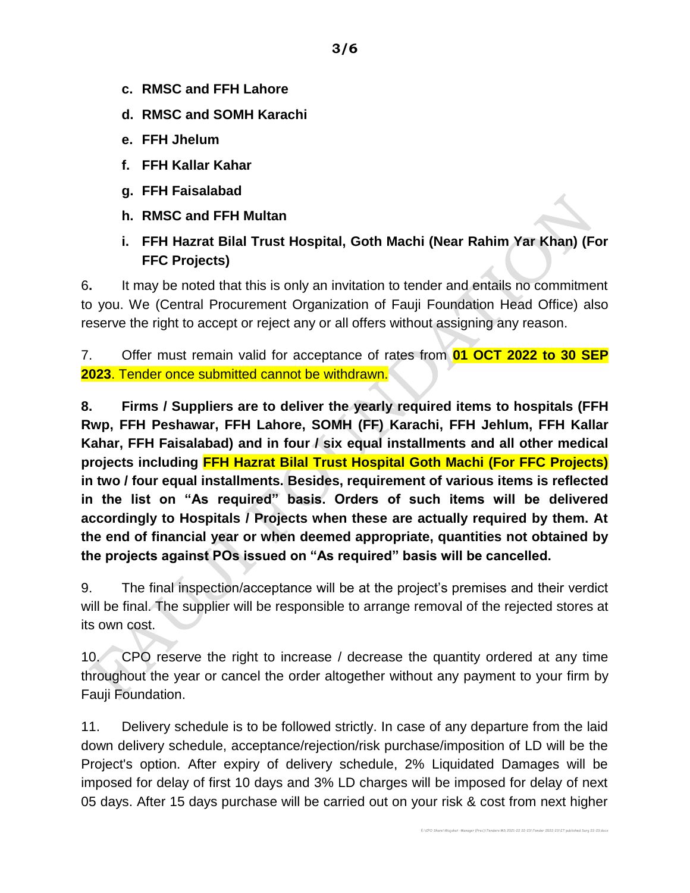- **c. RMSC and FFH Lahore**
- **d. RMSC and SOMH Karachi**
- **e. FFH Jhelum**
- **f. FFH Kallar Kahar**
- **g. FFH Faisalabad**
- **h. RMSC and FFH Multan**
- **i. FFH Hazrat Bilal Trust Hospital, Goth Machi (Near Rahim Yar Khan) (For FFC Projects)**

6**.** It may be noted that this is only an invitation to tender and entails no commitment to you. We (Central Procurement Organization of Fauji Foundation Head Office) also reserve the right to accept or reject any or all offers without assigning any reason.

7. Offer must remain valid for acceptance of rates from **01 OCT 2022 to 30 SEP 2023**. Tender once submitted cannot be withdrawn.

**8. Firms / Suppliers are to deliver the yearly required items to hospitals (FFH Rwp, FFH Peshawar, FFH Lahore, SOMH (FF) Karachi, FFH Jehlum, FFH Kallar Kahar, FFH Faisalabad) and in four / six equal installments and all other medical projects including FFH Hazrat Bilal Trust Hospital Goth Machi (For FFC Projects) in two / four equal installments. Besides, requirement of various items is reflected in the list on "As required" basis. Orders of such items will be delivered accordingly to Hospitals / Projects when these are actually required by them. At the end of financial year or when deemed appropriate, quantities not obtained by the projects against POs issued on "As required" basis will be cancelled.**

9. The final inspection/acceptance will be at the project's premises and their verdict will be final. The supplier will be responsible to arrange removal of the rejected stores at its own cost.

10. CPO reserve the right to increase / decrease the quantity ordered at any time throughout the year or cancel the order altogether without any payment to your firm by Fauji Foundation.

11. Delivery schedule is to be followed strictly. In case of any departure from the laid down delivery schedule, acceptance/rejection/risk purchase/imposition of LD will be the Project's option. After expiry of delivery schedule, 2% Liquidated Damages will be imposed for delay of first 10 days and 3% LD charges will be imposed for delay of next 05 days. After 15 days purchase will be carried out on your risk & cost from next higher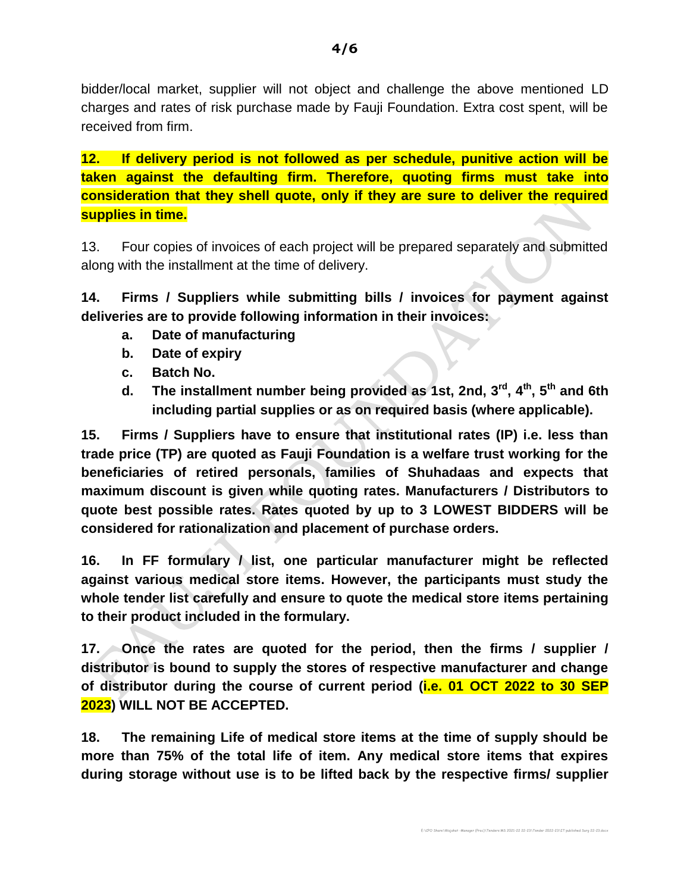bidder/local market, supplier will not object and challenge the above mentioned LD charges and rates of risk purchase made by Fauji Foundation. Extra cost spent, will be received from firm.

**12. If delivery period is not followed as per schedule, punitive action will be taken against the defaulting firm. Therefore, quoting firms must take into consideration that they shell quote, only if they are sure to deliver the required supplies in time.**

13. Four copies of invoices of each project will be prepared separately and submitted along with the installment at the time of delivery.

**14. Firms / Suppliers while submitting bills / invoices for payment against deliveries are to provide following information in their invoices:**

- **a. Date of manufacturing**
- **b. Date of expiry**
- **c. Batch No.**
- **d. The installment number being provided as 1st, 2nd, 3 rd , 4 th, 5th and 6th including partial supplies or as on required basis (where applicable).**

**15. Firms / Suppliers have to ensure that institutional rates (IP) i.e. less than trade price (TP) are quoted as Fauji Foundation is a welfare trust working for the beneficiaries of retired personals, families of Shuhadaas and expects that maximum discount is given while quoting rates. Manufacturers / Distributors to quote best possible rates. Rates quoted by up to 3 LOWEST BIDDERS will be considered for rationalization and placement of purchase orders.**

**16. In FF formulary / list, one particular manufacturer might be reflected against various medical store items. However, the participants must study the whole tender list carefully and ensure to quote the medical store items pertaining to their product included in the formulary.**

**17. Once the rates are quoted for the period, then the firms / supplier / distributor is bound to supply the stores of respective manufacturer and change of distributor during the course of current period (i.e. 01 OCT 2022 to 30 SEP 2023) WILL NOT BE ACCEPTED.**

**18. The remaining Life of medical store items at the time of supply should be more than 75% of the total life of item. Any medical store items that expires during storage without use is to be lifted back by the respective firms/ supplier**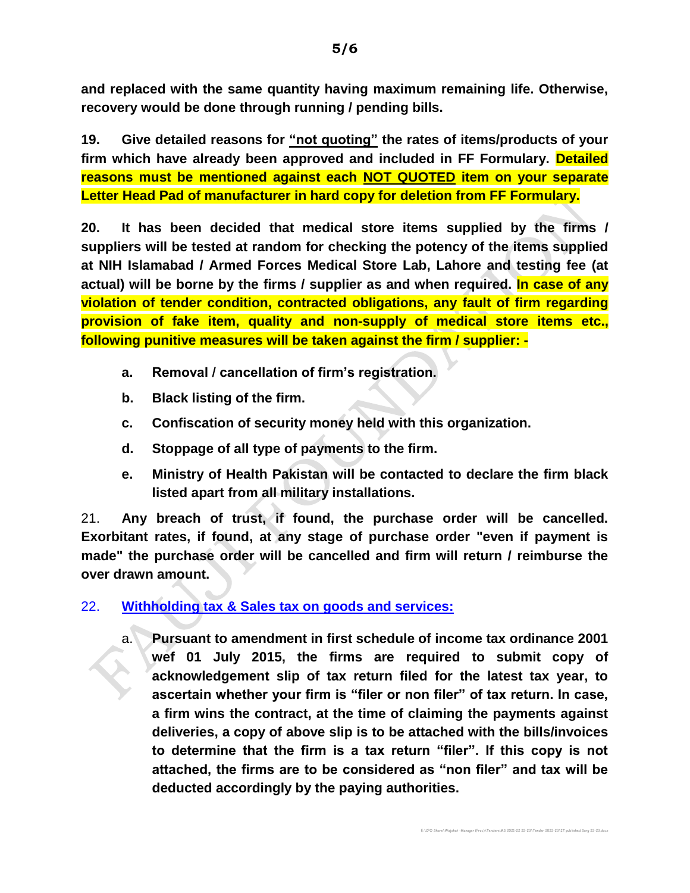**and replaced with the same quantity having maximum remaining life. Otherwise, recovery would be done through running / pending bills.**

**19. Give detailed reasons for "not quoting" the rates of items/products of your firm which have already been approved and included in FF Formulary. Detailed reasons must be mentioned against each NOT QUOTED item on your separate Letter Head Pad of manufacturer in hard copy for deletion from FF Formulary.**

**20. It has been decided that medical store items supplied by the firms / suppliers will be tested at random for checking the potency of the items supplied at NIH Islamabad / Armed Forces Medical Store Lab, Lahore and testing fee (at actual) will be borne by the firms / supplier as and when required. In case of any violation of tender condition, contracted obligations, any fault of firm regarding provision of fake item, quality and non-supply of medical store items etc., following punitive measures will be taken against the firm / supplier: -**

- **a. Removal / cancellation of firm's registration.**
- **b. Black listing of the firm.**
- **c. Confiscation of security money held with this organization.**
- **d. Stoppage of all type of payments to the firm.**
- **e. Ministry of Health Pakistan will be contacted to declare the firm black listed apart from all military installations.**

21. **Any breach of trust, if found, the purchase order will be cancelled. Exorbitant rates, if found, at any stage of purchase order "even if payment is made" the purchase order will be cancelled and firm will return / reimburse the over drawn amount.**

## 22. **Withholding tax & Sales tax on goods and services:**

a. **Pursuant to amendment in first schedule of income tax ordinance 2001 wef 01 July 2015, the firms are required to submit copy of acknowledgement slip of tax return filed for the latest tax year, to ascertain whether your firm is "filer or non filer" of tax return. In case, a firm wins the contract, at the time of claiming the payments against deliveries, a copy of above slip is to be attached with the bills/invoices to determine that the firm is a tax return "filer". If this copy is not attached, the firms are to be considered as "non filer" and tax will be deducted accordingly by the paying authorities.**